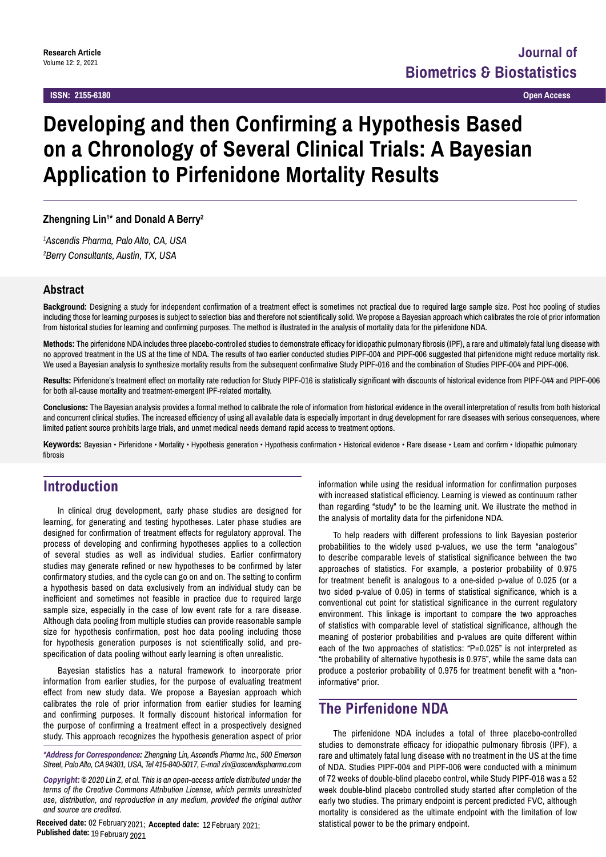#### **ISSN: 2155-6180 Open Access**

# **Developing and then Confirming a Hypothesis Based on a Chronology of Several Clinical Trials: A Bayesian Application to Pirfenidone Mortality Results**

**Zhengning Lin1 \* and Donald A Berry2**

*1 Ascendis Pharma, Palo Alto, CA, USA 2 Berry Consultants, Austin, TX, USA*

# **Abstract**

**Background:** Designing a study for independent confirmation of a treatment effect is sometimes not practical due to required large sample size. Post hoc pooling of studies including those for learning purposes is subject to selection bias and therefore not scientifically solid. We propose a Bayesian approach which calibrates the role of prior information from historical studies for learning and confirming purposes. The method is illustrated in the analysis of mortality data for the pirfenidone NDA.

**Methods:** The pirfenidone NDA includes three placebo-controlled studies to demonstrate efficacy for idiopathic pulmonary fibrosis (IPF), a rare and ultimately fatal lung disease with no approved treatment in the US at the time of NDA. The results of two earlier conducted studies PIPF-004 and PIPF-006 suggested that pirfenidone might reduce mortality risk. We used a Bayesian analysis to synthesize mortality results from the subsequent confirmative Study PIPF-016 and the combination of Studies PIPF-004 and PIPF-006.

**Results:** Pirfenidone's treatment effect on mortality rate reduction for Study PIPF-016 is statistically significant with discounts of historical evidence from PIPF-044 and PIPF-006 for both all-cause mortality and treatment-emergent IPF-related mortality.

**Conclusions:** The Bayesian analysis provides a formal method to calibrate the role of information from historical evidence in the overall interpretation of results from both historical and concurrent clinical studies. The increased efficiency of using all available data is especially important in drug development for rare diseases with serious consequences, where limited patient source prohibits large trials, and unmet medical needs demand rapid access to treatment options.

**Keywords:** Bayesian • Pirfenidone • Mortality • Hypothesis generation • Hypothesis confirmation • Historical evidence • Rare disease • Learn and confirm • Idiopathic pulmonary fibrosis

# **Introduction**

In clinical drug development, early phase studies are designed for learning, for generating and testing hypotheses. Later phase studies are designed for confirmation of treatment effects for regulatory approval. The process of developing and confirming hypotheses applies to a collection of several studies as well as individual studies. Earlier confirmatory studies may generate refined or new hypotheses to be confirmed by later confirmatory studies, and the cycle can go on and on. The setting to confirm a hypothesis based on data exclusively from an individual study can be inefficient and sometimes not feasible in practice due to required large sample size, especially in the case of low event rate for a rare disease. Although data pooling from multiple studies can provide reasonable sample size for hypothesis confirmation, post hoc data pooling including those for hypothesis generation purposes is not scientifically solid, and prespecification of data pooling without early learning is often unrealistic.

Bayesian statistics has a natural framework to incorporate prior information from earlier studies, for the purpose of evaluating treatment effect from new study data. We propose a Bayesian approach which calibrates the role of prior information from earlier studies for learning and confirming purposes. It formally discount historical information for the purpose of confirming a treatment effect in a prospectively designed study. This approach recognizes the hypothesis generation aspect of prior

*\*Address for Correspondence: Zhengning Lin, Ascendis Pharma Inc., 500 Emerson Street, Palo Alto, CA 94301, USA, Tel 415-840-5017, E-mail zln@ascendispharma.com*

*Copyright: © 2020 Lin Z, et al. This is an open-access article distributed under the terms of the Creative Commons Attribution License, which permits unrestricted use, distribution, and reproduction in any medium, provided the original author and source are credited.*

Received date: 02 February 2021; Accepted date: 12 February 2021;<br>**Published date:** 19 February 2021

information while using the residual information for confirmation purposes with increased statistical efficiency. Learning is viewed as continuum rather than regarding "study" to be the learning unit. We illustrate the method in the analysis of mortality data for the pirfenidone NDA.

To help readers with different professions to link Bayesian posterior probabilities to the widely used p-values, we use the term "analogous" to describe comparable levels of statistical significance between the two approaches of statistics. For example, a posterior probability of 0.975 for treatment benefit is analogous to a one-sided p-value of 0.025 (or a two sided p-value of 0.05) in terms of statistical significance, which is a conventional cut point for statistical significance in the current regulatory environment. This linkage is important to compare the two approaches of statistics with comparable level of statistical significance, although the meaning of posterior probabilities and p-values are quite different within each of the two approaches of statistics: "P=0.025" is not interpreted as "the probability of alternative hypothesis is 0.975", while the same data can produce a posterior probability of 0.975 for treatment benefit with a "noninformative" prior.

# **The Pirfenidone NDA**

The pirfenidone NDA includes a total of three placebo-controlled studies to demonstrate efficacy for idiopathic pulmonary fibrosis (IPF), a rare and ultimately fatal lung disease with no treatment in the US at the time of NDA. Studies PIPF-004 and PIPF-006 were conducted with a minimum of 72 weeks of double-blind placebo control, while Study PIPF-016 was a 52 week double-blind placebo controlled study started after completion of the early two studies. The primary endpoint is percent predicted FVC, although mortality is considered as the ultimate endpoint with the limitation of low statistical power to be the primary endpoint.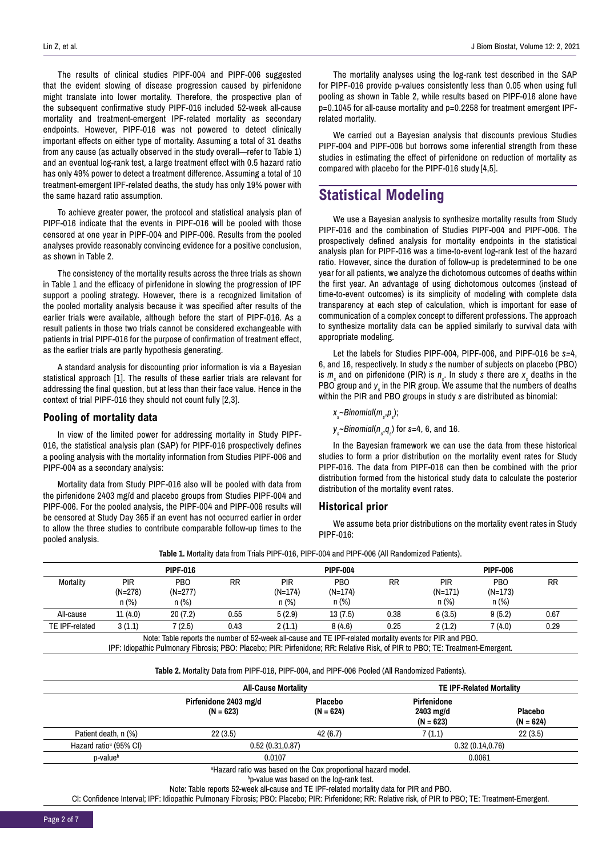The results of clinical studies PIPF-004 and PIPF-006 suggested that the evident slowing of disease progression caused by pirfenidone might translate into lower mortality. Therefore, the prospective plan of the subsequent confirmative study PIPF-016 included 52-week all-cause mortality and treatment-emergent IPF-related mortality as secondary endpoints. However, PIPF-016 was not powered to detect clinically important effects on either type of mortality. Assuming a total of 31 deaths from any cause (as actually observed in the study overall—refer to Table 1) and an eventual log-rank test, a large treatment effect with 0.5 hazard ratio has only 49% power to detect a treatment difference. Assuming a total of 10 treatment-emergent IPF-related deaths, the study has only 19% power with the same hazard ratio assumption.

To achieve greater power, the protocol and statistical analysis plan of PIPF-016 indicate that the events in PIPF-016 will be pooled with those censored at one year in PIPF-004 and PIPF-006. Results from the pooled analyses provide reasonably convincing evidence for a positive conclusion, as shown in Table 2.

The consistency of the mortality results across the three trials as shown in Table 1 and the efficacy of pirfenidone in slowing the progression of IPF support a pooling strategy. However, there is a recognized limitation of the pooled mortality analysis because it was specified after results of the earlier trials were available, although before the start of PIPF-016. As a result patients in those two trials cannot be considered exchangeable with patients in trial PIPF-016 for the purpose of confirmation of treatment effect, as the earlier trials are partly hypothesis generating.

A standard analysis for discounting prior information is via a Bayesian statistical approach [1]. The results of these earlier trials are relevant for addressing the final question, but at less than their face value. Hence in the context of trial PIPF-016 they should not count fully [2,3].

### **Pooling of mortality data**

In view of the limited power for addressing mortality in Study PIPF-016, the statistical analysis plan (SAP) for PIPF-016 prospectively defines a pooling analysis with the mortality information from Studies PIPF-006 and PIPF-004 as a secondary analysis:

Mortality data from Study PIPF-016 also will be pooled with data from the pirfenidone 2403 mg/d and placebo groups from Studies PIPF-004 and PIPF-006. For the pooled analysis, the PIPF-004 and PIPF-006 results will be censored at Study Day 365 if an event has not occurred earlier in order to allow the three studies to contribute comparable follow-up times to the pooled analysis.

The mortality analyses using the log-rank test described in the SAP for PIPF-016 provide p-values consistently less than 0.05 when using full pooling as shown in Table 2, while results based on PIPF-016 alone have p=0.1045 for all-cause mortality and p=0.2258 for treatment emergent IPFrelated mortality.

We carried out a Bayesian analysis that discounts previous Studies PIPF-004 and PIPF-006 but borrows some inferential strength from these studies in estimating the effect of pirfenidone on reduction of mortality as compared with placebo for the PIPF-016 study [4,5].

# **Statistical Modeling**

We use a Bayesian analysis to synthesize mortality results from Study PIPF-016 and the combination of Studies PIPF-004 and PIPF-006. The prospectively defined analysis for mortality endpoints in the statistical analysis plan for PIPF-016 was a time-to-event log-rank test of the hazard ratio. However, since the duration of follow-up is predetermined to be one year for all patients, we analyze the dichotomous outcomes of deaths within the first year. An advantage of using dichotomous outcomes (instead of time-to-event outcomes) is its simplicity of modeling with complete data transparency at each step of calculation, which is important for ease of communication of a complex concept to different professions. The approach to synthesize mortality data can be applied similarly to survival data with appropriate modeling.

Let the labels for Studies PIPF-004, PIPF-006, and PIPF-016 be *s=*4, 6, and 16, respectively. In study *s* the number of subjects on placebo (PBO) is  $m_s$  and on pirfenidone (PIR) is  $n_s$ . In study *s* there are  $x_s$  deaths in the PBO group and *ys* in the PIR group. We assume that the numbers of deaths within the PIR and PBO groups in study *s* are distributed as binomial:

*xs* ~*Binomial*(*ms* ,*ps* );

*ys* ~*Binomial*(*ns* ,*qs* ) for *s=*4, 6, and 16.

In the Bayesian framework we can use the data from these historical studies to form a prior distribution on the mortality event rates for Study PIPF-016. The data from PIPF-016 can then be combined with the prior distribution formed from the historical study data to calculate the posterior distribution of the mortality event rates.

#### **Historical prior**

We assume beta prior distributions on the mortality event rates in Study PIPF-016:

| Table 1. Mortality data from Trials PIPF-016, PIPF-004 and PIPF-006 (All Randomized Patients). |  |  |
|------------------------------------------------------------------------------------------------|--|--|
|------------------------------------------------------------------------------------------------|--|--|

| <b>PIPF-016</b>                                                                                          |                             |                                     | <b>PIPF-004</b> |                                  |                                          | <b>PIPF-006</b> |                              |                                          |           |
|----------------------------------------------------------------------------------------------------------|-----------------------------|-------------------------------------|-----------------|----------------------------------|------------------------------------------|-----------------|------------------------------|------------------------------------------|-----------|
| Mortality                                                                                                | PIR<br>$(N=278)$<br>$n$ (%) | <b>PBO</b><br>$(N=277)$<br>$n (\%)$ | RR              | <b>PIR</b><br>$(N=174)$<br>n (%) | PB <sub>O</sub><br>$(N=174)$<br>$n (\%)$ | <b>RR</b>       | PIR<br>$(N=171)$<br>$n (\%)$ | PB <sub>O</sub><br>$(N=173)$<br>$n (\%)$ | <b>RR</b> |
| All-cause                                                                                                | 11(4.0)                     | 20(7.2)                             | 0.55            | 5(2.9)                           | 13(7.5)                                  | 0.38            | 6(3.5)                       | 9(5.2)                                   | 0.67      |
| TE IPF-related                                                                                           | 3(1.1)                      | 7(2.5)                              | 0.43            | 2(1.1)                           | 8(4.6)                                   | 0.25            | 2(1.2)                       | 7 (4.0)                                  | 0.29      |
| Note: Table reports the number of 52-week all-cause and TE IPF-related mortality events for PIR and PBO. |                             |                                     |                 |                                  |                                          |                 |                              |                                          |           |

IPF: Idiopathic Pulmonary Fibrosis; PBO: Placebo; PIR: Pirfenidone; RR: Relative Risk, of PIR to PBO; TE: Treatment-Emergent.

**Table 2.** Mortality Data from PIPF-016, PIPF-004, and PIPF-006 Pooled (All Randomized Patients).

|                                    | <b>All-Cause Mortality</b>           |                               | <b>TE IPF-Related Mortality</b>         |                               |  |  |  |
|------------------------------------|--------------------------------------|-------------------------------|-----------------------------------------|-------------------------------|--|--|--|
|                                    | Pirfenidone 2403 mg/d<br>$(N = 623)$ | <b>Placebo</b><br>$(N = 624)$ | Pirfenidone<br>2403 mg/d<br>$(N = 623)$ | <b>Placebo</b><br>$(N = 624)$ |  |  |  |
| Patient death, n (%)               | 22(3.5)                              | 42(6.7)                       | 7(1.1)                                  | 22(3.5)                       |  |  |  |
| Hazard ratio <sup>a</sup> (95% CI) | 0.52(0.31, 0.87)                     |                               | 0.32(0.14, 0.76)                        |                               |  |  |  |
| p-value <sup>b</sup>               | 0.0107                               |                               | 0.0061                                  |                               |  |  |  |
|                                    | .<br>.<br>.                          |                               |                                         |                               |  |  |  |

a Hazard ratio was based on the Cox proportional hazard model.

b p-value was based on the log-rank test.

Note: Table reports 52-week all-cause and TE IPF-related mortality data for PIR and PBO.

CI: Confidence Interval; IPF: Idiopathic Pulmonary Fibrosis; PBO: Placebo; PIR: Pirfenidone; RR: Relative risk, of PIR to PBO; TE: Treatment-Emergent.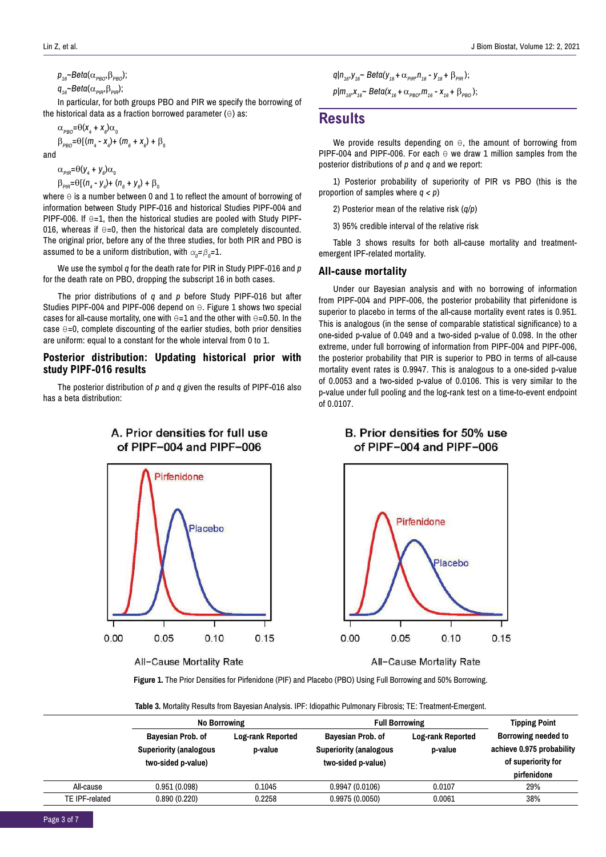$p_{16}$ ~*Beta*( $\alpha_{PBO}$ , $\beta_{PBO}$ );

 $q_{16}$ ~*Beta*( $\alpha_{\text{PIR}}$ , $\beta_{\text{PIR}}$ );

In particular, for both groups PBO and PIR we specify the borrowing of the historical data as a fraction borrowed parameter  $(\theta)$  as:

$$
\alpha_{\rho_{BO}} = \Theta(x_4 + x_6)\alpha_0
$$
  
\n
$$
\beta_{\rho_{BO}} = \Theta[(m_4 - x_4) + (m_6 + x_6) + \beta_0
$$
  
\nand

 $\alpha_{\text{PIR}} = \theta(y_4 + y_6)\alpha_0$  $β<sub>PIR</sub>=θ[(n<sub>4</sub> - y<sub>4</sub>)+ (n<sub>6</sub> + y<sub>6</sub>) + β<sub>0</sub>$ 

where  $\Theta$  is a number between 0 and 1 to reflect the amount of borrowing of information between Study PIPF-016 and historical Studies PIPF-004 and PIPF-006. If  $\Theta$ =1, then the historical studies are pooled with Study PIPF-016, whereas if  $\Theta$ =0, then the historical data are completely discounted. The original prior, before any of the three studies, for both PIR and PBO is assumed to be a uniform distribution, with  $\alpha_{\textit{0}}$ = $\beta_{\textit{0}}$ =1.

We use the symbol *q* for the death rate for PIR in Study PIPF-016 and *p*  for the death rate on PBO, dropping the subscript 16 in both cases.

The prior distributions of *q* and *p* before Study PIPF-016 but after Studies PIPF-004 and PIPF-006 depend on θ. Figure 1 shows two special cases for all-cause mortality, one with  $\theta$ =1 and the other with  $\theta$ =0.50. In the case θ=0, complete discounting of the earlier studies, both prior densities are uniform: equal to a constant for the whole interval from 0 to 1.

# **Posterior distribution: Updating historical prior with study PIPF-016 results**

The posterior distribution of *p* and *q* given the results of PIPF-016 also has a beta distribution:

A. Prior densities for full use



All-Cause Mortality Rate

 $q|n_{16}$ ,  $y_{16}$   $\sim$   $Beta(y_{16} + \alpha_{pIP}$ ,  $n_{16}$   $\sim$   $y_{16}$   $\sim$   $\beta_{pIP}$ );  $p|m_{16}$ , $x_{16}$   $\sim$   $Beta(x_{16} + \alpha_{PBO})$ ,  $m_{16}$   $\sim$   $x_{16}$   $\sim$   $\beta_{PBO}$ );

# **Results**

We provide results depending on θ, the amount of borrowing from PIPF-004 and PIPF-006. For each  $\theta$  we draw 1 million samples from the posterior distributions of *p* and *q* and we report:

1) Posterior probability of superiority of PIR vs PBO (this is the proportion of samples where *q < p*)

2) Posterior mean of the relative risk (*q/p*)

3) 95% credible interval of the relative risk

Table 3 shows results for both all-cause mortality and treatmentemergent IPF-related mortality.

#### **All-cause mortality**

Under our Bayesian analysis and with no borrowing of information from PIPF-004 and PIPF-006, the posterior probability that pirfenidone is superior to placebo in terms of the all-cause mortality event rates is 0.951. This is analogous (in the sense of comparable statistical significance) to a one-sided p-value of 0.049 and a two-sided p-value of 0.098. In the other extreme, under full borrowing of information from PIPF-004 and PIPF-006, the posterior probability that PIR is superior to PBO in terms of all-cause mortality event rates is 0.9947. This is analogous to a one-sided p-value of 0.0053 and a two-sided p-value of 0.0106. This is very similar to the p-value under full pooling and the log-rank test on a time-to-event endpoint of 0.0107.

# B. Prior densities for 50% use of PIPF-004 and PIPF-006



All-Cause Mortality Rate

**Figure 1.** The Prior Densities for Pirfenidone (PIF) and Placebo (PBO) Using Full Borrowing and 50% Borrowing.

**Table 3.** Mortality Results from Bayesian Analysis. IPF: Idiopathic Pulmonary Fibrosis; TE: Treatment-Emergent.

|                | <b>No Borrowing</b>                                                      |                              | <b>Full Borrowing</b>                                                    | <b>Tipping Point</b>                |                                                                        |
|----------------|--------------------------------------------------------------------------|------------------------------|--------------------------------------------------------------------------|-------------------------------------|------------------------------------------------------------------------|
|                | Bayesian Prob. of<br><b>Superiority (analogous</b><br>two-sided p-value) | Log-rank Reported<br>p-value | Bayesian Prob. of<br><b>Superiority (analogous</b><br>two-sided p-value) | <b>Log-rank Reported</b><br>p-value | Borrowing needed to<br>achieve 0.975 probability<br>of superiority for |
|                |                                                                          |                              |                                                                          |                                     | pirfenidone                                                            |
| All-cause      | 0.951(0.098)                                                             | 0.1045                       | 0.9947(0.0106)                                                           | 0.0107                              | 29%                                                                    |
| TE IPF-related | 0.890(0.220)                                                             | 0.2258                       | 0.9975(0.0050)                                                           | 0.0061                              | 38%                                                                    |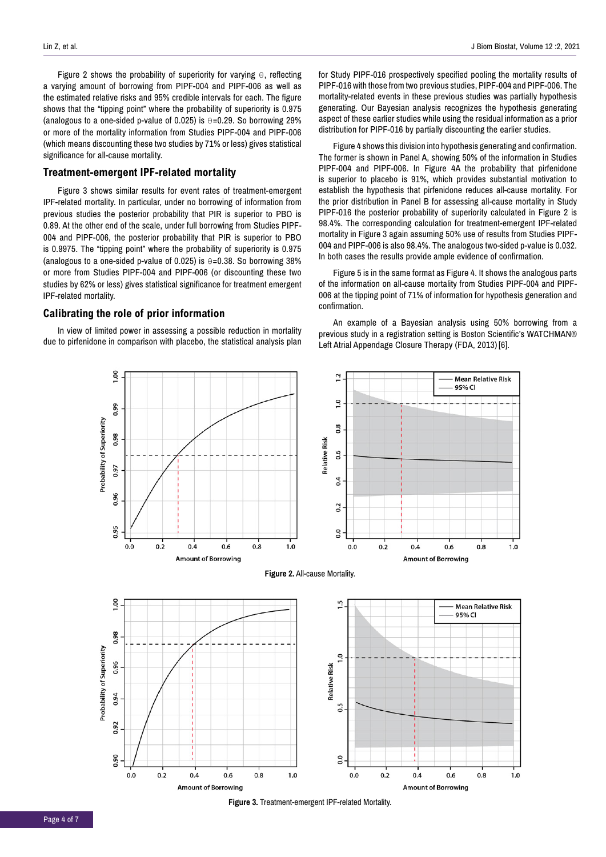Figure 2 shows the probability of superiority for varying θ, reflecting a varying amount of borrowing from PIPF-004 and PIPF-006 as well as the estimated relative risks and 95% credible intervals for each. The figure shows that the "tipping point" where the probability of superiority is 0.975 (analogous to a one-sided p-value of 0.025) is  $\theta$ =0.29. So borrowing 29% or more of the mortality information from Studies PIPF-004 and PIPF-006 (which means discounting these two studies by 71% or less) gives statistical significance for all-cause mortality.

# **Treatment-emergent IPF-related mortality**

Figure 3 shows similar results for event rates of treatment-emergent IPF-related mortality. In particular, under no borrowing of information from previous studies the posterior probability that PIR is superior to PBO is 0.89. At the other end of the scale, under full borrowing from Studies PIPF-004 and PIPF-006, the posterior probability that PIR is superior to PBO is 0.9975. The "tipping point" where the probability of superiority is 0.975 (analogous to a one-sided p-value of 0.025) is θ=0.38. So borrowing 38% or more from Studies PIPF-004 and PIPF-006 (or discounting these two studies by 62% or less) gives statistical significance for treatment emergent IPF-related mortality.

#### **Calibrating the role of prior information**

In view of limited power in assessing a possible reduction in mortality due to pirfenidone in comparison with placebo, the statistical analysis plan for Study PIPF-016 prospectively specified pooling the mortality results of PIPF-016 with those from two previous studies, PIPF-004 and PIPF-006. The mortality-related events in these previous studies was partially hypothesis generating. Our Bayesian analysis recognizes the hypothesis generating aspect of these earlier studies while using the residual information as a prior distribution for PIPF-016 by partially discounting the earlier studies.

Figure 4 shows this division into hypothesis generating and confirmation. The former is shown in Panel A, showing 50% of the information in Studies PIPF-004 and PIPF-006. In Figure 4A the probability that pirfenidone is superior to placebo is 91%, which provides substantial motivation to establish the hypothesis that pirfenidone reduces all-cause mortality. For the prior distribution in Panel B for assessing all-cause mortality in Study PIPF-016 the posterior probability of superiority calculated in Figure 2 is 98.4%. The corresponding calculation for treatment-emergent IPF-related mortality in Figure 3 again assuming 50% use of results from Studies PIPF-004 and PIPF-006 is also 98.4%. The analogous two-sided p-value is 0.032. In both cases the results provide ample evidence of confirmation.

Figure 5 is in the same format as Figure 4. It shows the analogous parts of the information on all-cause mortality from Studies PIPF-004 and PIPF-006 at the tipping point of 71% of information for hypothesis generation and confirmation.

An example of a Bayesian analysis using 50% borrowing from a previous study in a registration setting is Boston Scientific's WATCHMAN® Left Atrial Appendage Closure Therapy (FDA, 2013) [6].







**Figure 3.** Treatment-emergent IPF-related Mortality.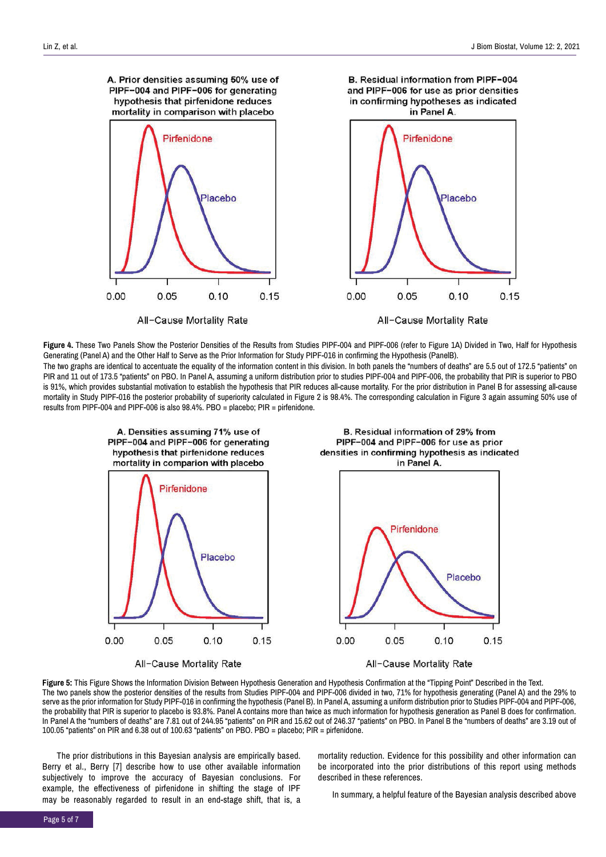

**Figure 4.** These Two Panels Show the Posterior Densities of the Results from Studies PIPF-004 and PIPF-006 (refer to Figure 1A) Divided in Two, Half for Hypothesis Generating (Panel A) and the Other Half to Serve as the Prior Information for Study PIPF-016 in confirming the Hypothesis (PanelB). The two graphs are identical to accentuate the equality of the information content in this division. In both panels the "numbers of deaths" are 5.5 out of 172.5 "patients" on

PIR and 11 out of 173.5 "patients" on PBO. In Panel A, assuming a uniform distribution prior to studies PIPF-004 and PIPF-006, the probability that PIR is superior to PBO is 91%, which provides substantial motivation to establish the hypothesis that PIR reduces all-cause mortality. For the prior distribution in Panel B for assessing all-cause mortality in Study PIPF-016 the posterior probability of superiority calculated in Figure 2 is 98.4%. The corresponding calculation in Figure 3 again assuming 50% use of results from PIPF-004 and PIPF-006 is also 98.4%. PBO = placebo; PIR = pirfenidone.



All-Cause Mortality Rate







**Figure 5:** This Figure Shows the Information Division Between Hypothesis Generation and Hypothesis Confirmation at the "Tipping Point" Described in the Text. The two panels show the posterior densities of the results from Studies PIPF-004 and PIPF-006 divided in two, 71% for hypothesis generating (Panel A) and the 29% to serve as the prior information for Study PIPF-016 in confirming the hypothesis (Panel B). In Panel A, assuming a uniform distribution prior to Studies PIPF-004 and PIPF-006, the probability that PIR is superior to placebo is 93.8%. Panel A contains more than twice as much information for hypothesis generation as Panel B does for confirmation. In Panel A the "numbers of deaths" are 7.81 out of 244.95 "patients" on PIR and 15.62 out of 246.37 "patients" on PBO. In Panel B the "numbers of deaths" are 3.19 out of 100.05 "patients" on PIR and 6.38 out of 100.63 "patients" on PBO. PBO = placebo; PIR = pirfenidone.

The prior distributions in this Bayesian analysis are empirically based. Berry et al., Berry [7] describe how to use other available information subjectively to improve the accuracy of Bayesian conclusions. For example, the effectiveness of pirfenidone in shifting the stage of IPF may be reasonably regarded to result in an end-stage shift, that is, a

mortality reduction. Evidence for this possibility and other information can be incorporated into the prior distributions of this report using methods described in these references.

In summary, a helpful feature of the Bayesian analysis described above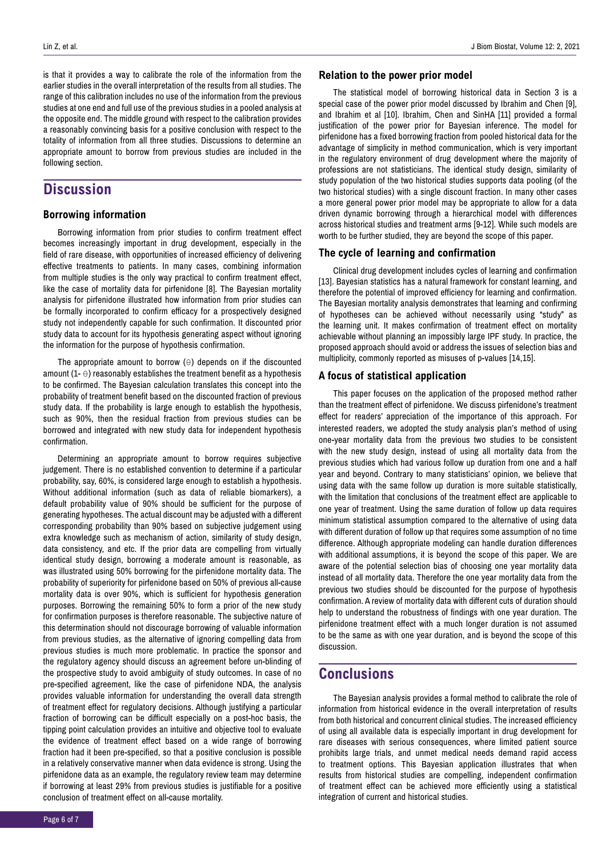is that it provides a way to calibrate the role of the information from the earlier studies in the overall interpretation of the results from all studies. The range of this calibration includes no use of the information from the previous studies at one end and full use of the previous studies in a pooled analysis at the opposite end. The middle ground with respect to the calibration provides a reasonably convincing basis for a positive conclusion with respect to the totality of information from all three studies. Discussions to determine an appropriate amount to borrow from previous studies are included in the following section.

# **Discussion**

## **Borrowing information**

Borrowing information from prior studies to confirm treatment effect becomes increasingly important in drug development, especially in the field of rare disease, with opportunities of increased efficiency of delivering effective treatments to patients. In many cases, combining information from multiple studies is the only way practical to confirm treatment effect, like the case of mortality data for pirfenidone [8]. The Bayesian mortality analysis for pirfenidone illustrated how information from prior studies can be formally incorporated to confirm efficacy for a prospectively designed study not independently capable for such confirmation. It discounted prior study data to account for its hypothesis generating aspect without ignoring the information for the purpose of hypothesis confirmation.

The appropriate amount to borrow  $(\theta)$  depends on if the discounted amount  $(1 - \theta)$  reasonably establishes the treatment benefit as a hypothesis to be confirmed. The Bayesian calculation translates this concept into the probability of treatment benefit based on the discounted fraction of previous study data. If the probability is large enough to establish the hypothesis, such as 90%, then the residual fraction from previous studies can be borrowed and integrated with new study data for independent hypothesis confirmation.

Determining an appropriate amount to borrow requires subjective judgement. There is no established convention to determine if a particular probability, say, 60%, is considered large enough to establish a hypothesis. Without additional information (such as data of reliable biomarkers), a default probability value of 90% should be sufficient for the purpose of generating hypotheses. The actual discount may be adjusted with a different corresponding probability than 90% based on subjective judgement using extra knowledge such as mechanism of action, similarity of study design, data consistency, and etc. If the prior data are compelling from virtually identical study design, borrowing a moderate amount is reasonable, as was illustrated using 50% borrowing for the pirfenidone mortality data. The probability of superiority for pirfenidone based on 50% of previous all-cause mortality data is over 90%, which is sufficient for hypothesis generation purposes. Borrowing the remaining 50% to form a prior of the new study for confirmation purposes is therefore reasonable. The subjective nature of this determination should not discourage borrowing of valuable information from previous studies, as the alternative of ignoring compelling data from previous studies is much more problematic. In practice the sponsor and the regulatory agency should discuss an agreement before un-blinding of the prospective study to avoid ambiguity of study outcomes. In case of no pre-specified agreement, like the case of pirfenidone NDA, the analysis provides valuable information for understanding the overall data strength of treatment effect for regulatory decisions. Although justifying a particular fraction of borrowing can be difficult especially on a post-hoc basis, the tipping point calculation provides an intuitive and objective tool to evaluate the evidence of treatment effect based on a wide range of borrowing fraction had it been pre-specified, so that a positive conclusion is possible in a relatively conservative manner when data evidence is strong. Using the pirfenidone data as an example, the regulatory review team may determine if borrowing at least 29% from previous studies is justifiable for a positive conclusion of treatment effect on all-cause mortality.

#### **Relation to the power prior model**

The statistical model of borrowing historical data in Section 3 is a special case of the power prior model discussed by Ibrahim and Chen [9], and Ibrahim et al [10]. Ibrahim, Chen and SinHA [11] provided a formal justification of the power prior for Bayesian inference. The model for pirfenidone has a fixed borrowing fraction from pooled historical data for the advantage of simplicity in method communication, which is very important in the regulatory environment of drug development where the majority of professions are not statisticians. The identical study design, similarity of study population of the two historical studies supports data pooling (of the two historical studies) with a single discount fraction. In many other cases a more general power prior model may be appropriate to allow for a data driven dynamic borrowing through a hierarchical model with differences across historical studies and treatment arms [9-12]. While such models are worth to be further studied, they are beyond the scope of this paper.

## **The cycle of learning and confirmation**

Clinical drug development includes cycles of learning and confirmation [13]. Bayesian statistics has a natural framework for constant learning, and therefore the potential of improved efficiency for learning and confirmation. The Bayesian mortality analysis demonstrates that learning and confirming of hypotheses can be achieved without necessarily using "study" as the learning unit. It makes confirmation of treatment effect on mortality achievable without planning an impossibly large IPF study. In practice, the proposed approach should avoid or address the issues of selection bias and multiplicity, commonly reported as misuses of p-values [14,15].

## **A focus of statistical application**

This paper focuses on the application of the proposed method rather than the treatment effect of pirfenidone. We discuss pirfenidone's treatment effect for readers' appreciation of the importance of this approach. For interested readers, we adopted the study analysis plan's method of using one-year mortality data from the previous two studies to be consistent with the new study design, instead of using all mortality data from the previous studies which had various follow up duration from one and a half year and beyond. Contrary to many statisticians' opinion, we believe that using data with the same follow up duration is more suitable statistically, with the limitation that conclusions of the treatment effect are applicable to one year of treatment. Using the same duration of follow up data requires minimum statistical assumption compared to the alternative of using data with different duration of follow up that requires some assumption of no time difference. Although appropriate modeling can handle duration differences with additional assumptions, it is beyond the scope of this paper. We are aware of the potential selection bias of choosing one year mortality data instead of all mortality data. Therefore the one year mortality data from the previous two studies should be discounted for the purpose of hypothesis confirmation. A review of mortality data with different cuts of duration should help to understand the robustness of findings with one year duration. The pirfenidone treatment effect with a much longer duration is not assumed to be the same as with one year duration, and is beyond the scope of this discussion.

# **Conclusions**

The Bayesian analysis provides a formal method to calibrate the role of information from historical evidence in the overall interpretation of results from both historical and concurrent clinical studies. The increased efficiency of using all available data is especially important in drug development for rare diseases with serious consequences, where limited patient source prohibits large trials, and unmet medical needs demand rapid access to treatment options. This Bayesian application illustrates that when results from historical studies are compelling, independent confirmation of treatment effect can be achieved more efficiently using a statistical integration of current and historical studies.